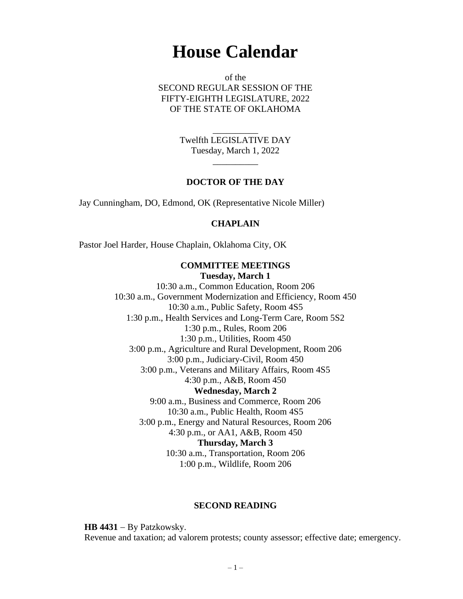# **House Calendar**

of the SECOND REGULAR SESSION OF THE FIFTY-EIGHTH LEGISLATURE, 2022 OF THE STATE OF OKLAHOMA

> Twelfth LEGISLATIVE DAY Tuesday, March 1, 2022

> > $\overline{\phantom{a}}$

\_\_\_\_\_\_\_\_\_\_

#### **DOCTOR OF THE DAY**

Jay Cunningham, DO, Edmond, OK (Representative Nicole Miller)

#### **CHAPLAIN**

Pastor Joel Harder, House Chaplain, Oklahoma City, OK

# **COMMITTEE MEETINGS**

**Tuesday, March 1** 10:30 a.m., Common Education, Room 206 10:30 a.m., Government Modernization and Efficiency, Room 450 10:30 a.m., Public Safety, Room 4S5 1:30 p.m., Health Services and Long-Term Care, Room 5S2 1:30 p.m., Rules, Room 206 1:30 p.m., Utilities, Room 450 3:00 p.m., Agriculture and Rural Development, Room 206 3:00 p.m., Judiciary-Civil, Room 450 3:00 p.m., Veterans and Military Affairs, Room 4S5 4:30 p.m., A&B, Room 450 **Wednesday, March 2** 9:00 a.m., Business and Commerce, Room 206 10:30 a.m., Public Health, Room 4S5 3:00 p.m., Energy and Natural Resources, Room 206 4:30 p.m., or AA1, A&B, Room 450 **Thursday, March 3** 10:30 a.m., Transportation, Room 206 1:00 p.m., Wildlife, Room 206

#### **SECOND READING**

**HB 4431** − By Patzkowsky. Revenue and taxation; ad valorem protests; county assessor; effective date; emergency.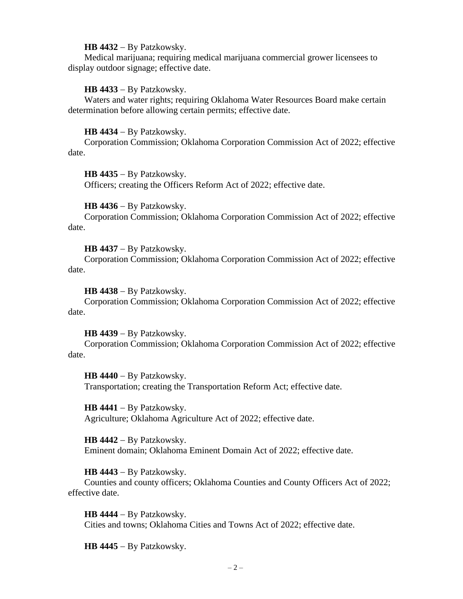#### **HB 4432** − By Patzkowsky.

Medical marijuana; requiring medical marijuana commercial grower licensees to display outdoor signage; effective date.

#### **HB 4433** − By Patzkowsky.

Waters and water rights; requiring Oklahoma Water Resources Board make certain determination before allowing certain permits; effective date.

#### **HB 4434** − By Patzkowsky.

Corporation Commission; Oklahoma Corporation Commission Act of 2022; effective date.

**HB 4435** − By Patzkowsky.

Officers; creating the Officers Reform Act of 2022; effective date.

**HB 4436** − By Patzkowsky.

Corporation Commission; Oklahoma Corporation Commission Act of 2022; effective date.

**HB 4437** − By Patzkowsky.

Corporation Commission; Oklahoma Corporation Commission Act of 2022; effective date.

**HB 4438** − By Patzkowsky.

Corporation Commission; Oklahoma Corporation Commission Act of 2022; effective date.

**HB 4439** − By Patzkowsky.

Corporation Commission; Oklahoma Corporation Commission Act of 2022; effective date.

**HB 4440** − By Patzkowsky. Transportation; creating the Transportation Reform Act; effective date.

**HB 4441** − By Patzkowsky. Agriculture; Oklahoma Agriculture Act of 2022; effective date.

**HB 4442** − By Patzkowsky. Eminent domain; Oklahoma Eminent Domain Act of 2022; effective date.

**HB 4443** − By Patzkowsky.

Counties and county officers; Oklahoma Counties and County Officers Act of 2022; effective date.

**HB 4444** − By Patzkowsky. Cities and towns; Oklahoma Cities and Towns Act of 2022; effective date.

**HB 4445** − By Patzkowsky.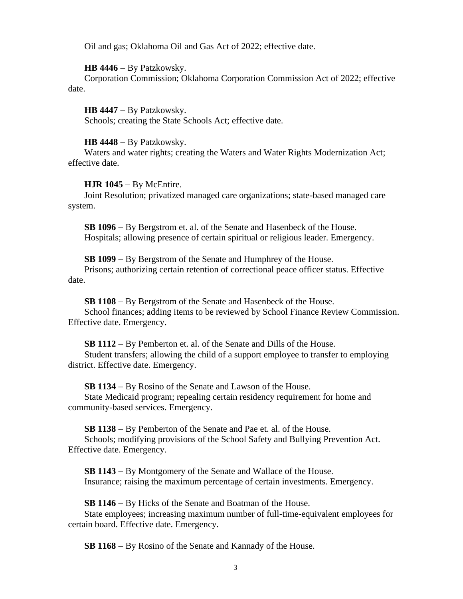Oil and gas; Oklahoma Oil and Gas Act of 2022; effective date.

## **HB 4446** − By Patzkowsky.

Corporation Commission; Oklahoma Corporation Commission Act of 2022; effective date.

**HB 4447** − By Patzkowsky. Schools; creating the State Schools Act; effective date.

# **HB 4448** − By Patzkowsky.

Waters and water rights; creating the Waters and Water Rights Modernization Act; effective date.

# **HJR 1045** − By McEntire.

Joint Resolution; privatized managed care organizations; state-based managed care system.

**SB 1096** − By Bergstrom et. al. of the Senate and Hasenbeck of the House. Hospitals; allowing presence of certain spiritual or religious leader. Emergency.

**SB 1099** − By Bergstrom of the Senate and Humphrey of the House.

Prisons; authorizing certain retention of correctional peace officer status. Effective date.

**SB 1108** − By Bergstrom of the Senate and Hasenbeck of the House. School finances; adding items to be reviewed by School Finance Review Commission. Effective date. Emergency.

**SB 1112** − By Pemberton et. al. of the Senate and Dills of the House. Student transfers; allowing the child of a support employee to transfer to employing district. Effective date. Emergency.

**SB 1134** − By Rosino of the Senate and Lawson of the House.

State Medicaid program; repealing certain residency requirement for home and community-based services. Emergency.

**SB 1138** − By Pemberton of the Senate and Pae et. al. of the House. Schools; modifying provisions of the School Safety and Bullying Prevention Act. Effective date. Emergency.

**SB 1143** − By Montgomery of the Senate and Wallace of the House. Insurance; raising the maximum percentage of certain investments. Emergency.

**SB 1146** − By Hicks of the Senate and Boatman of the House.

State employees; increasing maximum number of full-time-equivalent employees for certain board. Effective date. Emergency.

**SB 1168** − By Rosino of the Senate and Kannady of the House.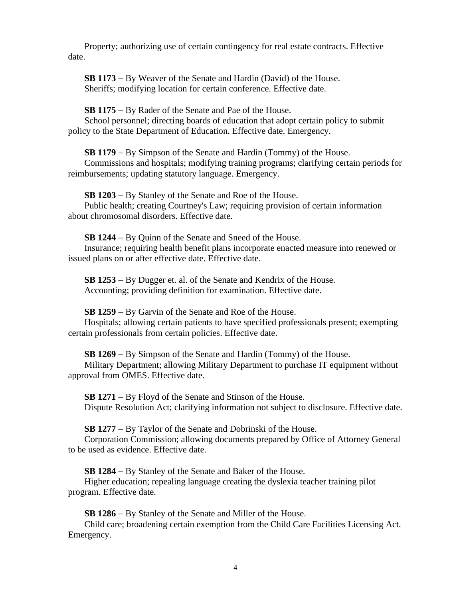Property; authorizing use of certain contingency for real estate contracts. Effective date.

**SB 1173** − By Weaver of the Senate and Hardin (David) of the House. Sheriffs; modifying location for certain conference. Effective date.

**SB 1175** − By Rader of the Senate and Pae of the House.

School personnel; directing boards of education that adopt certain policy to submit policy to the State Department of Education. Effective date. Emergency.

**SB 1179** − By Simpson of the Senate and Hardin (Tommy) of the House.

Commissions and hospitals; modifying training programs; clarifying certain periods for reimbursements; updating statutory language. Emergency.

**SB 1203** − By Stanley of the Senate and Roe of the House.

Public health; creating Courtney's Law; requiring provision of certain information about chromosomal disorders. Effective date.

**SB 1244** − By Quinn of the Senate and Sneed of the House.

Insurance; requiring health benefit plans incorporate enacted measure into renewed or issued plans on or after effective date. Effective date.

**SB 1253** − By Dugger et. al. of the Senate and Kendrix of the House. Accounting; providing definition for examination. Effective date.

**SB 1259** − By Garvin of the Senate and Roe of the House.

Hospitals; allowing certain patients to have specified professionals present; exempting certain professionals from certain policies. Effective date.

**SB 1269** − By Simpson of the Senate and Hardin (Tommy) of the House. Military Department; allowing Military Department to purchase IT equipment without approval from OMES. Effective date.

**SB 1271** − By Floyd of the Senate and Stinson of the House. Dispute Resolution Act; clarifying information not subject to disclosure. Effective date.

**SB 1277** − By Taylor of the Senate and Dobrinski of the House.

Corporation Commission; allowing documents prepared by Office of Attorney General to be used as evidence. Effective date.

**SB 1284** − By Stanley of the Senate and Baker of the House.

Higher education; repealing language creating the dyslexia teacher training pilot program. Effective date.

**SB 1286** − By Stanley of the Senate and Miller of the House.

Child care; broadening certain exemption from the Child Care Facilities Licensing Act. Emergency.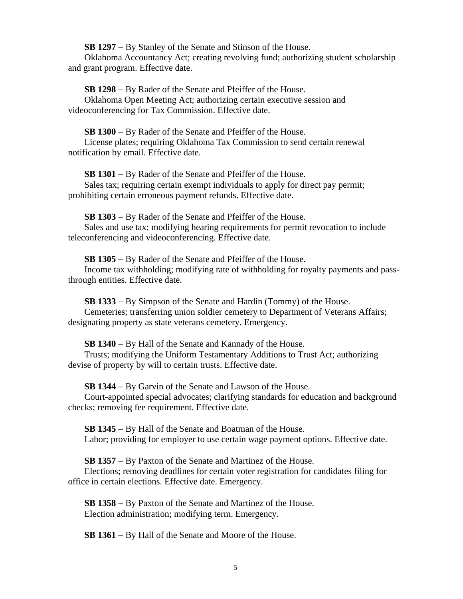**SB 1297** − By Stanley of the Senate and Stinson of the House.

Oklahoma Accountancy Act; creating revolving fund; authorizing student scholarship and grant program. Effective date.

**SB 1298** − By Rader of the Senate and Pfeiffer of the House. Oklahoma Open Meeting Act; authorizing certain executive session and videoconferencing for Tax Commission. Effective date.

**SB 1300** − By Rader of the Senate and Pfeiffer of the House.

License plates; requiring Oklahoma Tax Commission to send certain renewal notification by email. Effective date.

**SB 1301** − By Rader of the Senate and Pfeiffer of the House. Sales tax; requiring certain exempt individuals to apply for direct pay permit; prohibiting certain erroneous payment refunds. Effective date.

**SB 1303** − By Rader of the Senate and Pfeiffer of the House. Sales and use tax; modifying hearing requirements for permit revocation to include teleconferencing and videoconferencing. Effective date.

**SB 1305** − By Rader of the Senate and Pfeiffer of the House. Income tax withholding; modifying rate of withholding for royalty payments and passthrough entities. Effective date.

**SB 1333** − By Simpson of the Senate and Hardin (Tommy) of the House. Cemeteries; transferring union soldier cemetery to Department of Veterans Affairs; designating property as state veterans cemetery. Emergency.

**SB 1340** − By Hall of the Senate and Kannady of the House.

Trusts; modifying the Uniform Testamentary Additions to Trust Act; authorizing devise of property by will to certain trusts. Effective date.

**SB 1344** − By Garvin of the Senate and Lawson of the House.

Court-appointed special advocates; clarifying standards for education and background checks; removing fee requirement. Effective date.

**SB 1345** − By Hall of the Senate and Boatman of the House. Labor; providing for employer to use certain wage payment options. Effective date.

**SB 1357** − By Paxton of the Senate and Martinez of the House.

Elections; removing deadlines for certain voter registration for candidates filing for office in certain elections. Effective date. Emergency.

**SB 1358** − By Paxton of the Senate and Martinez of the House. Election administration; modifying term. Emergency.

**SB 1361** − By Hall of the Senate and Moore of the House.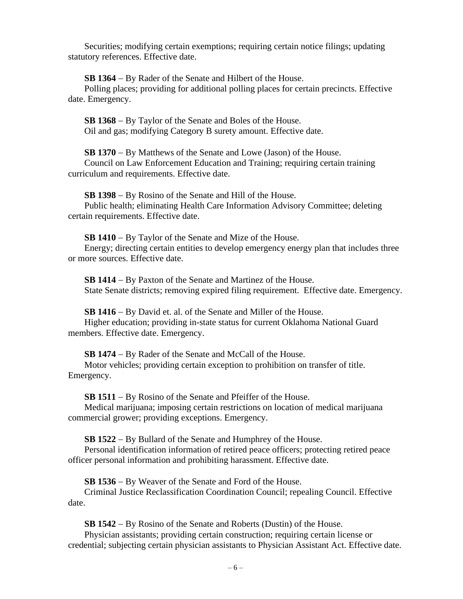Securities; modifying certain exemptions; requiring certain notice filings; updating statutory references. Effective date.

**SB 1364** − By Rader of the Senate and Hilbert of the House.

Polling places; providing for additional polling places for certain precincts. Effective date. Emergency.

**SB 1368** − By Taylor of the Senate and Boles of the House. Oil and gas; modifying Category B surety amount. Effective date.

**SB 1370** − By Matthews of the Senate and Lowe (Jason) of the House. Council on Law Enforcement Education and Training; requiring certain training curriculum and requirements. Effective date.

**SB 1398** − By Rosino of the Senate and Hill of the House. Public health; eliminating Health Care Information Advisory Committee; deleting certain requirements. Effective date.

**SB 1410** − By Taylor of the Senate and Mize of the House.

Energy; directing certain entities to develop emergency energy plan that includes three or more sources. Effective date.

**SB 1414** − By Paxton of the Senate and Martinez of the House. State Senate districts; removing expired filing requirement. Effective date. Emergency.

**SB 1416** − By David et. al. of the Senate and Miller of the House.

Higher education; providing in-state status for current Oklahoma National Guard members. Effective date. Emergency.

**SB 1474** − By Rader of the Senate and McCall of the House.

Motor vehicles; providing certain exception to prohibition on transfer of title. Emergency.

**SB 1511** − By Rosino of the Senate and Pfeiffer of the House.

Medical marijuana; imposing certain restrictions on location of medical marijuana commercial grower; providing exceptions. Emergency.

**SB 1522** − By Bullard of the Senate and Humphrey of the House.

Personal identification information of retired peace officers; protecting retired peace officer personal information and prohibiting harassment. Effective date.

**SB 1536** − By Weaver of the Senate and Ford of the House.

Criminal Justice Reclassification Coordination Council; repealing Council. Effective date.

**SB 1542** − By Rosino of the Senate and Roberts (Dustin) of the House. Physician assistants; providing certain construction; requiring certain license or credential; subjecting certain physician assistants to Physician Assistant Act. Effective date.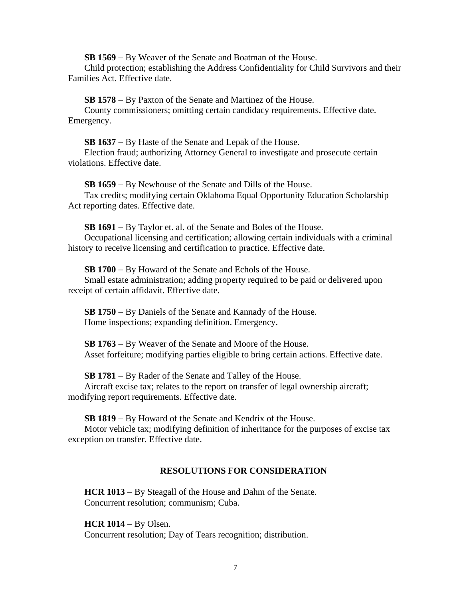**SB 1569** − By Weaver of the Senate and Boatman of the House.

Child protection; establishing the Address Confidentiality for Child Survivors and their Families Act. Effective date.

**SB 1578** − By Paxton of the Senate and Martinez of the House.

County commissioners; omitting certain candidacy requirements. Effective date. Emergency.

**SB 1637** − By Haste of the Senate and Lepak of the House. Election fraud; authorizing Attorney General to investigate and prosecute certain

violations. Effective date.

**SB 1659** − By Newhouse of the Senate and Dills of the House. Tax credits; modifying certain Oklahoma Equal Opportunity Education Scholarship Act reporting dates. Effective date.

**SB 1691** − By Taylor et. al. of the Senate and Boles of the House. Occupational licensing and certification; allowing certain individuals with a criminal history to receive licensing and certification to practice. Effective date.

**SB 1700** − By Howard of the Senate and Echols of the House. Small estate administration; adding property required to be paid or delivered upon receipt of certain affidavit. Effective date.

**SB 1750** − By Daniels of the Senate and Kannady of the House. Home inspections; expanding definition. Emergency.

**SB 1763** − By Weaver of the Senate and Moore of the House. Asset forfeiture; modifying parties eligible to bring certain actions. Effective date.

**SB 1781** − By Rader of the Senate and Talley of the House.

Aircraft excise tax; relates to the report on transfer of legal ownership aircraft; modifying report requirements. Effective date.

**SB 1819** − By Howard of the Senate and Kendrix of the House.

Motor vehicle tax; modifying definition of inheritance for the purposes of excise tax exception on transfer. Effective date.

# **RESOLUTIONS FOR CONSIDERATION**

**HCR 1013** − By Steagall of the House and Dahm of the Senate. Concurrent resolution; communism; Cuba.

**HCR 1014** − By Olsen. Concurrent resolution; Day of Tears recognition; distribution.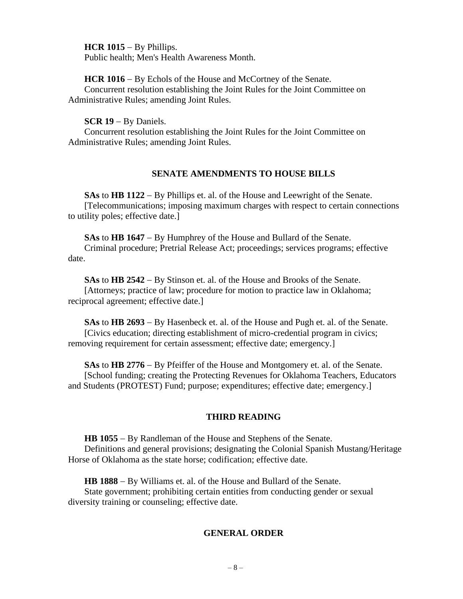**HCR 1015** − By Phillips.

Public health; Men's Health Awareness Month.

## **HCR 1016** − By Echols of the House and McCortney of the Senate.

Concurrent resolution establishing the Joint Rules for the Joint Committee on Administrative Rules; amending Joint Rules.

## **SCR 19** − By Daniels.

Concurrent resolution establishing the Joint Rules for the Joint Committee on Administrative Rules; amending Joint Rules.

# **SENATE AMENDMENTS TO HOUSE BILLS**

**SAs** to **HB 1122** − By Phillips et. al. of the House and Leewright of the Senate. [Telecommunications; imposing maximum charges with respect to certain connections to utility poles; effective date.]

**SAs** to **HB 1647** − By Humphrey of the House and Bullard of the Senate. Criminal procedure; Pretrial Release Act; proceedings; services programs; effective date.

**SAs** to **HB 2542** − By Stinson et. al. of the House and Brooks of the Senate. [Attorneys; practice of law; procedure for motion to practice law in Oklahoma; reciprocal agreement; effective date.]

**SAs** to **HB 2693** − By Hasenbeck et. al. of the House and Pugh et. al. of the Senate. [Civics education; directing establishment of micro-credential program in civics; removing requirement for certain assessment; effective date; emergency.]

**SAs** to **HB 2776** − By Pfeiffer of the House and Montgomery et. al. of the Senate. [School funding; creating the Protecting Revenues for Oklahoma Teachers, Educators and Students (PROTEST) Fund; purpose; expenditures; effective date; emergency.]

# **THIRD READING**

**HB 1055** − By Randleman of the House and Stephens of the Senate. Definitions and general provisions; designating the Colonial Spanish Mustang/Heritage Horse of Oklahoma as the state horse; codification; effective date.

**HB 1888** − By Williams et. al. of the House and Bullard of the Senate.

State government; prohibiting certain entities from conducting gender or sexual diversity training or counseling; effective date.

# **GENERAL ORDER**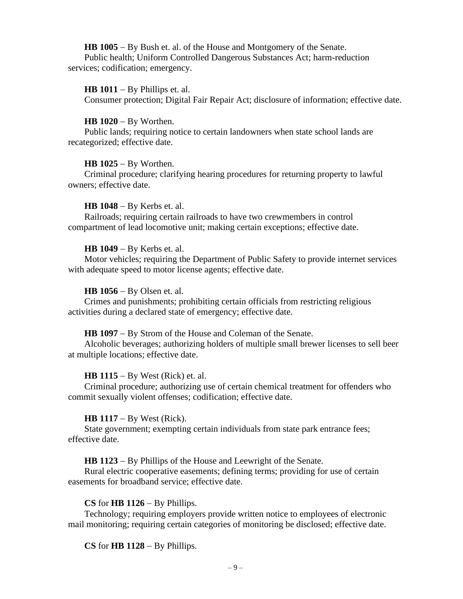**HB 1005** − By Bush et. al. of the House and Montgomery of the Senate. Public health; Uniform Controlled Dangerous Substances Act; harm-reduction services; codification; emergency.

#### **HB 1011** − By Phillips et. al.

Consumer protection; Digital Fair Repair Act; disclosure of information; effective date.

**HB 1020** − By Worthen.

Public lands; requiring notice to certain landowners when state school lands are recategorized; effective date.

#### **HB 1025** − By Worthen.

Criminal procedure; clarifying hearing procedures for returning property to lawful owners; effective date.

#### **HB 1048** − By Kerbs et. al.

Railroads; requiring certain railroads to have two crewmembers in control compartment of lead locomotive unit; making certain exceptions; effective date.

#### **HB 1049** − By Kerbs et. al.

Motor vehicles; requiring the Department of Public Safety to provide internet services with adequate speed to motor license agents; effective date.

#### **HB 1056** − By Olsen et. al.

Crimes and punishments; prohibiting certain officials from restricting religious activities during a declared state of emergency; effective date.

#### **HB 1097** − By Strom of the House and Coleman of the Senate.

Alcoholic beverages; authorizing holders of multiple small brewer licenses to sell beer at multiple locations; effective date.

#### **HB 1115** − By West (Rick) et. al.

Criminal procedure; authorizing use of certain chemical treatment for offenders who commit sexually violent offenses; codification; effective date.

#### **HB 1117** − By West (Rick).

State government; exempting certain individuals from state park entrance fees; effective date.

**HB 1123** − By Phillips of the House and Leewright of the Senate.

Rural electric cooperative easements; defining terms; providing for use of certain easements for broadband service; effective date.

## **CS** for **HB 1126** − By Phillips.

Technology; requiring employers provide written notice to employees of electronic mail monitoring; requiring certain categories of monitoring be disclosed; effective date.

## **CS** for **HB 1128** − By Phillips.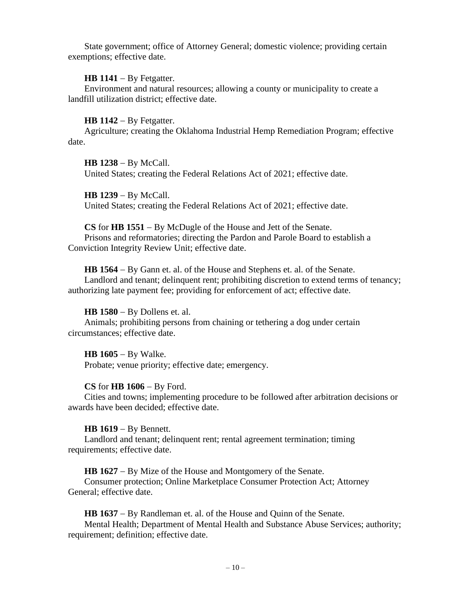State government; office of Attorney General; domestic violence; providing certain exemptions; effective date.

# **HB 1141** − By Fetgatter.

Environment and natural resources; allowing a county or municipality to create a landfill utilization district; effective date.

# **HB 1142** − By Fetgatter.

Agriculture; creating the Oklahoma Industrial Hemp Remediation Program; effective date.

**HB 1238** − By McCall. United States; creating the Federal Relations Act of 2021; effective date.

**HB 1239** − By McCall. United States; creating the Federal Relations Act of 2021; effective date.

**CS** for **HB 1551** − By McDugle of the House and Jett of the Senate. Prisons and reformatories; directing the Pardon and Parole Board to establish a Conviction Integrity Review Unit; effective date.

**HB 1564** − By Gann et. al. of the House and Stephens et. al. of the Senate.

Landlord and tenant; delinquent rent; prohibiting discretion to extend terms of tenancy; authorizing late payment fee; providing for enforcement of act; effective date.

# **HB 1580** − By Dollens et. al.

Animals; prohibiting persons from chaining or tethering a dog under certain circumstances; effective date.

**HB 1605** − By Walke. Probate; venue priority; effective date; emergency.

# **CS** for **HB 1606** − By Ford.

Cities and towns; implementing procedure to be followed after arbitration decisions or awards have been decided; effective date.

# **HB 1619** − By Bennett.

Landlord and tenant; delinquent rent; rental agreement termination; timing requirements; effective date.

**HB 1627** − By Mize of the House and Montgomery of the Senate.

Consumer protection; Online Marketplace Consumer Protection Act; Attorney General; effective date.

**HB 1637** − By Randleman et. al. of the House and Quinn of the Senate.

Mental Health; Department of Mental Health and Substance Abuse Services; authority; requirement; definition; effective date.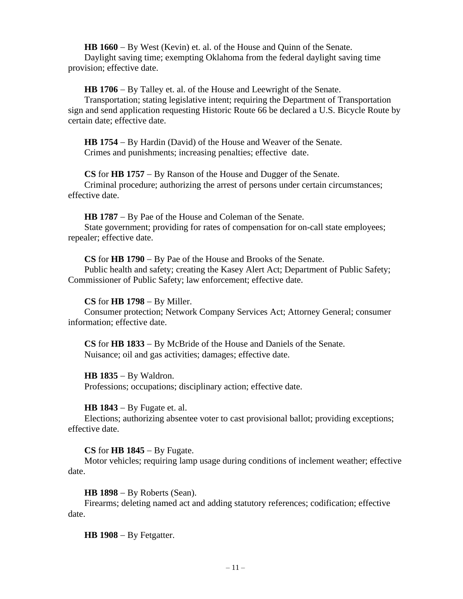**HB 1660** − By West (Kevin) et. al. of the House and Quinn of the Senate. Daylight saving time; exempting Oklahoma from the federal daylight saving time provision; effective date.

**HB 1706** − By Talley et. al. of the House and Leewright of the Senate.

Transportation; stating legislative intent; requiring the Department of Transportation sign and send application requesting Historic Route 66 be declared a U.S. Bicycle Route by certain date; effective date.

**HB 1754** − By Hardin (David) of the House and Weaver of the Senate. Crimes and punishments; increasing penalties; effective date.

**CS** for **HB 1757** − By Ranson of the House and Dugger of the Senate. Criminal procedure; authorizing the arrest of persons under certain circumstances; effective date.

**HB 1787** − By Pae of the House and Coleman of the Senate.

State government; providing for rates of compensation for on-call state employees; repealer; effective date.

**CS** for **HB 1790** − By Pae of the House and Brooks of the Senate.

Public health and safety; creating the Kasey Alert Act; Department of Public Safety; Commissioner of Public Safety; law enforcement; effective date.

# **CS** for **HB 1798** − By Miller.

Consumer protection; Network Company Services Act; Attorney General; consumer information; effective date.

**CS** for **HB 1833** − By McBride of the House and Daniels of the Senate. Nuisance; oil and gas activities; damages; effective date.

**HB 1835** − By Waldron.

Professions; occupations; disciplinary action; effective date.

**HB 1843** − By Fugate et. al.

Elections; authorizing absentee voter to cast provisional ballot; providing exceptions; effective date.

**CS** for **HB 1845** − By Fugate.

Motor vehicles; requiring lamp usage during conditions of inclement weather; effective date.

**HB 1898** − By Roberts (Sean).

Firearms; deleting named act and adding statutory references; codification; effective date.

**HB 1908** − By Fetgatter.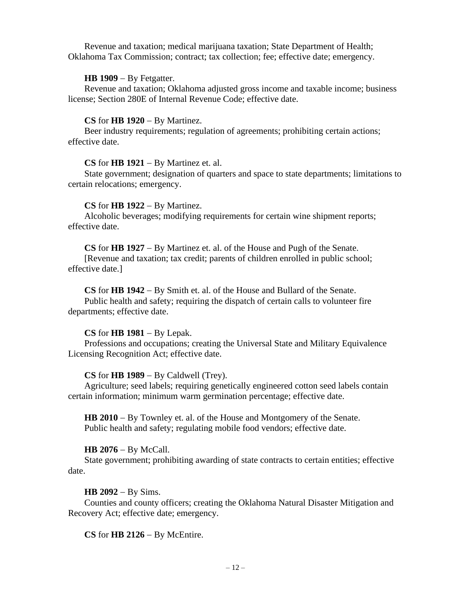Revenue and taxation; medical marijuana taxation; State Department of Health; Oklahoma Tax Commission; contract; tax collection; fee; effective date; emergency.

# **HB 1909** − By Fetgatter.

Revenue and taxation; Oklahoma adjusted gross income and taxable income; business license; Section 280E of Internal Revenue Code; effective date.

# **CS** for **HB 1920** − By Martinez.

Beer industry requirements; regulation of agreements; prohibiting certain actions; effective date.

# **CS** for **HB 1921** − By Martinez et. al.

State government; designation of quarters and space to state departments; limitations to certain relocations; emergency.

# **CS** for **HB 1922** − By Martinez.

Alcoholic beverages; modifying requirements for certain wine shipment reports; effective date.

**CS** for **HB 1927** − By Martinez et. al. of the House and Pugh of the Senate.

[Revenue and taxation; tax credit; parents of children enrolled in public school; effective date.]

**CS** for **HB 1942** − By Smith et. al. of the House and Bullard of the Senate.

Public health and safety; requiring the dispatch of certain calls to volunteer fire departments; effective date.

# **CS** for **HB 1981** − By Lepak.

Professions and occupations; creating the Universal State and Military Equivalence Licensing Recognition Act; effective date.

# **CS** for **HB 1989** − By Caldwell (Trey).

Agriculture; seed labels; requiring genetically engineered cotton seed labels contain certain information; minimum warm germination percentage; effective date.

**HB 2010** − By Townley et. al. of the House and Montgomery of the Senate. Public health and safety; regulating mobile food vendors; effective date.

# **HB 2076** − By McCall.

State government; prohibiting awarding of state contracts to certain entities; effective date.

# **HB 2092** − By Sims.

Counties and county officers; creating the Oklahoma Natural Disaster Mitigation and Recovery Act; effective date; emergency.

**CS** for **HB 2126** − By McEntire.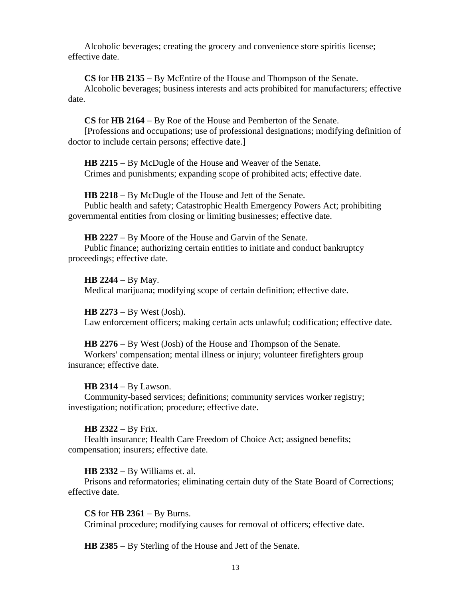Alcoholic beverages; creating the grocery and convenience store spiritis license; effective date.

**CS** for **HB 2135** − By McEntire of the House and Thompson of the Senate. Alcoholic beverages; business interests and acts prohibited for manufacturers; effective date.

**CS** for **HB 2164** − By Roe of the House and Pemberton of the Senate.

[Professions and occupations; use of professional designations; modifying definition of doctor to include certain persons; effective date.]

**HB 2215** − By McDugle of the House and Weaver of the Senate. Crimes and punishments; expanding scope of prohibited acts; effective date.

**HB 2218** − By McDugle of the House and Jett of the Senate. Public health and safety; Catastrophic Health Emergency Powers Act; prohibiting governmental entities from closing or limiting businesses; effective date.

**HB 2227** − By Moore of the House and Garvin of the Senate. Public finance; authorizing certain entities to initiate and conduct bankruptcy proceedings; effective date.

**HB 2244** − By May. Medical marijuana; modifying scope of certain definition; effective date.

**HB 2273** − By West (Josh). Law enforcement officers; making certain acts unlawful; codification; effective date.

**HB 2276** − By West (Josh) of the House and Thompson of the Senate. Workers' compensation; mental illness or injury; volunteer firefighters group insurance; effective date.

**HB 2314** − By Lawson.

Community-based services; definitions; community services worker registry; investigation; notification; procedure; effective date.

# **HB 2322** − By Frix.

Health insurance; Health Care Freedom of Choice Act; assigned benefits; compensation; insurers; effective date.

**HB 2332** − By Williams et. al.

Prisons and reformatories; eliminating certain duty of the State Board of Corrections; effective date.

**CS** for **HB 2361** − By Burns.

Criminal procedure; modifying causes for removal of officers; effective date.

**HB 2385** − By Sterling of the House and Jett of the Senate.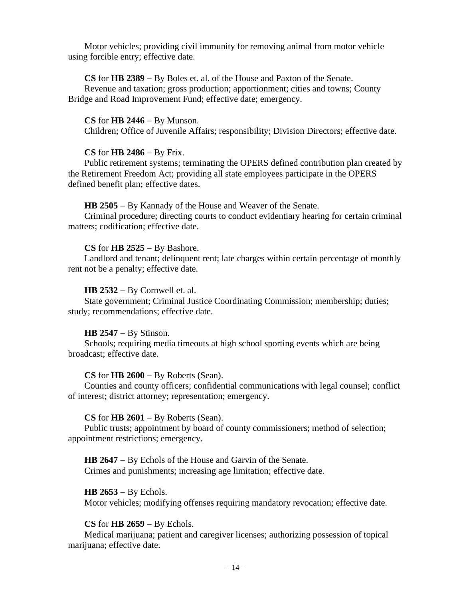Motor vehicles; providing civil immunity for removing animal from motor vehicle using forcible entry; effective date.

#### **CS** for **HB 2389** − By Boles et. al. of the House and Paxton of the Senate.

Revenue and taxation; gross production; apportionment; cities and towns; County Bridge and Road Improvement Fund; effective date; emergency.

#### **CS** for **HB 2446** − By Munson.

Children; Office of Juvenile Affairs; responsibility; Division Directors; effective date.

#### **CS** for **HB 2486** − By Frix.

Public retirement systems; terminating the OPERS defined contribution plan created by the Retirement Freedom Act; providing all state employees participate in the OPERS defined benefit plan; effective dates.

#### **HB 2505** − By Kannady of the House and Weaver of the Senate.

Criminal procedure; directing courts to conduct evidentiary hearing for certain criminal matters; codification; effective date.

#### **CS** for **HB 2525** − By Bashore.

Landlord and tenant; delinquent rent; late charges within certain percentage of monthly rent not be a penalty; effective date.

#### **HB 2532** − By Cornwell et. al.

State government; Criminal Justice Coordinating Commission; membership; duties; study; recommendations; effective date.

#### **HB 2547** − By Stinson.

Schools; requiring media timeouts at high school sporting events which are being broadcast; effective date.

#### **CS** for **HB 2600** − By Roberts (Sean).

Counties and county officers; confidential communications with legal counsel; conflict of interest; district attorney; representation; emergency.

#### **CS** for **HB 2601** − By Roberts (Sean).

Public trusts; appointment by board of county commissioners; method of selection; appointment restrictions; emergency.

**HB 2647** − By Echols of the House and Garvin of the Senate. Crimes and punishments; increasing age limitation; effective date.

#### **HB 2653** − By Echols.

Motor vehicles; modifying offenses requiring mandatory revocation; effective date.

## **CS** for **HB 2659** − By Echols.

Medical marijuana; patient and caregiver licenses; authorizing possession of topical marijuana; effective date.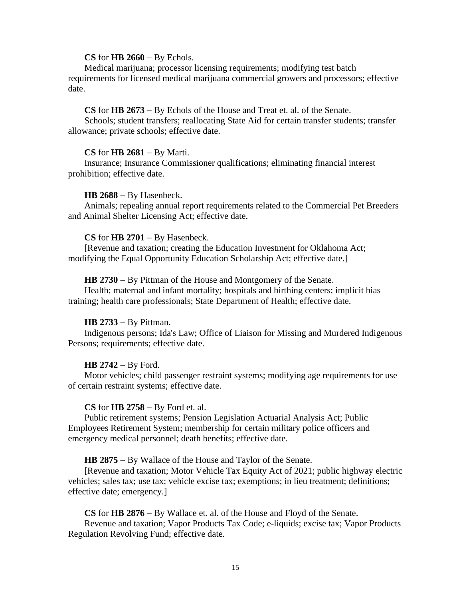## **CS** for **HB 2660** − By Echols.

Medical marijuana; processor licensing requirements; modifying test batch requirements for licensed medical marijuana commercial growers and processors; effective date.

# **CS** for **HB 2673** − By Echols of the House and Treat et. al. of the Senate.

Schools; student transfers; reallocating State Aid for certain transfer students; transfer allowance; private schools; effective date.

## **CS** for **HB 2681** − By Marti.

Insurance; Insurance Commissioner qualifications; eliminating financial interest prohibition; effective date.

#### **HB 2688** − By Hasenbeck.

Animals; repealing annual report requirements related to the Commercial Pet Breeders and Animal Shelter Licensing Act; effective date.

#### **CS** for **HB 2701** − By Hasenbeck.

[Revenue and taxation; creating the Education Investment for Oklahoma Act; modifying the Equal Opportunity Education Scholarship Act; effective date.]

#### **HB 2730** − By Pittman of the House and Montgomery of the Senate.

Health; maternal and infant mortality; hospitals and birthing centers; implicit bias training; health care professionals; State Department of Health; effective date.

## **HB 2733** − By Pittman.

Indigenous persons; Ida's Law; Office of Liaison for Missing and Murdered Indigenous Persons; requirements; effective date.

## **HB 2742** − By Ford.

Motor vehicles; child passenger restraint systems; modifying age requirements for use of certain restraint systems; effective date.

## **CS** for **HB 2758** − By Ford et. al.

Public retirement systems; Pension Legislation Actuarial Analysis Act; Public Employees Retirement System; membership for certain military police officers and emergency medical personnel; death benefits; effective date.

## **HB 2875** − By Wallace of the House and Taylor of the Senate.

[Revenue and taxation; Motor Vehicle Tax Equity Act of 2021; public highway electric vehicles; sales tax; use tax; vehicle excise tax; exemptions; in lieu treatment; definitions; effective date; emergency.]

**CS** for **HB 2876** − By Wallace et. al. of the House and Floyd of the Senate.

Revenue and taxation; Vapor Products Tax Code; e-liquids; excise tax; Vapor Products Regulation Revolving Fund; effective date.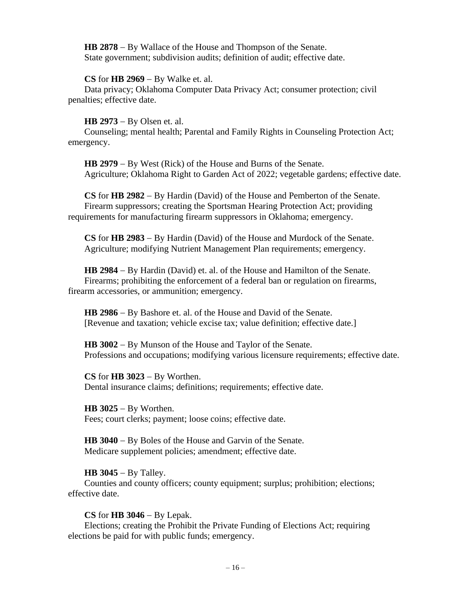**HB 2878** − By Wallace of the House and Thompson of the Senate. State government; subdivision audits; definition of audit; effective date.

## **CS** for **HB 2969** − By Walke et. al.

Data privacy; Oklahoma Computer Data Privacy Act; consumer protection; civil penalties; effective date.

#### **HB 2973** − By Olsen et. al.

Counseling; mental health; Parental and Family Rights in Counseling Protection Act; emergency.

**HB 2979** − By West (Rick) of the House and Burns of the Senate. Agriculture; Oklahoma Right to Garden Act of 2022; vegetable gardens; effective date.

**CS** for **HB 2982** − By Hardin (David) of the House and Pemberton of the Senate. Firearm suppressors; creating the Sportsman Hearing Protection Act; providing requirements for manufacturing firearm suppressors in Oklahoma; emergency.

**CS** for **HB 2983** − By Hardin (David) of the House and Murdock of the Senate. Agriculture; modifying Nutrient Management Plan requirements; emergency.

**HB 2984** − By Hardin (David) et. al. of the House and Hamilton of the Senate. Firearms; prohibiting the enforcement of a federal ban or regulation on firearms, firearm accessories, or ammunition; emergency.

**HB 2986** − By Bashore et. al. of the House and David of the Senate. [Revenue and taxation; vehicle excise tax; value definition; effective date.]

**HB 3002** − By Munson of the House and Taylor of the Senate. Professions and occupations; modifying various licensure requirements; effective date.

**CS** for **HB 3023** − By Worthen. Dental insurance claims; definitions; requirements; effective date.

**HB 3025** − By Worthen. Fees; court clerks; payment; loose coins; effective date.

**HB 3040** − By Boles of the House and Garvin of the Senate. Medicare supplement policies; amendment; effective date.

## **HB 3045** − By Talley.

Counties and county officers; county equipment; surplus; prohibition; elections; effective date.

## **CS** for **HB 3046** − By Lepak.

Elections; creating the Prohibit the Private Funding of Elections Act; requiring elections be paid for with public funds; emergency.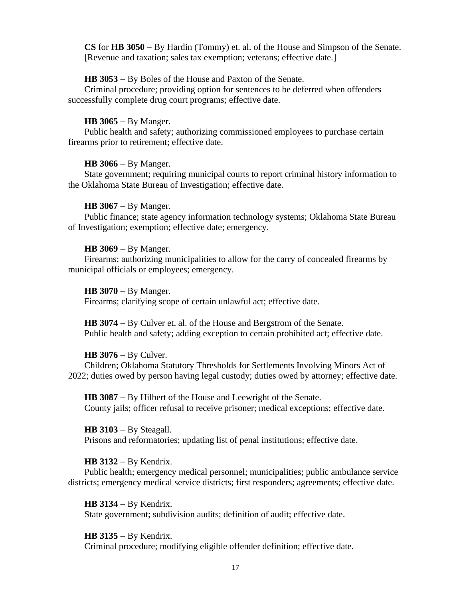**CS** for **HB 3050** − By Hardin (Tommy) et. al. of the House and Simpson of the Senate. [Revenue and taxation; sales tax exemption; veterans; effective date.]

## **HB 3053** − By Boles of the House and Paxton of the Senate.

Criminal procedure; providing option for sentences to be deferred when offenders successfully complete drug court programs; effective date.

## **HB 3065** − By Manger.

Public health and safety; authorizing commissioned employees to purchase certain firearms prior to retirement; effective date.

# **HB 3066** − By Manger.

State government; requiring municipal courts to report criminal history information to the Oklahoma State Bureau of Investigation; effective date.

# **HB 3067** − By Manger.

Public finance; state agency information technology systems; Oklahoma State Bureau of Investigation; exemption; effective date; emergency.

# **HB 3069** − By Manger.

Firearms; authorizing municipalities to allow for the carry of concealed firearms by municipal officials or employees; emergency.

## **HB 3070** − By Manger.

Firearms; clarifying scope of certain unlawful act; effective date.

**HB 3074** − By Culver et. al. of the House and Bergstrom of the Senate. Public health and safety; adding exception to certain prohibited act; effective date.

## **HB 3076** − By Culver.

Children; Oklahoma Statutory Thresholds for Settlements Involving Minors Act of 2022; duties owed by person having legal custody; duties owed by attorney; effective date.

**HB 3087** − By Hilbert of the House and Leewright of the Senate. County jails; officer refusal to receive prisoner; medical exceptions; effective date.

## **HB 3103** − By Steagall.

Prisons and reformatories; updating list of penal institutions; effective date.

# **HB 3132** − By Kendrix.

Public health; emergency medical personnel; municipalities; public ambulance service districts; emergency medical service districts; first responders; agreements; effective date.

## **HB 3134** − By Kendrix.

State government; subdivision audits; definition of audit; effective date.

## **HB 3135** − By Kendrix.

Criminal procedure; modifying eligible offender definition; effective date.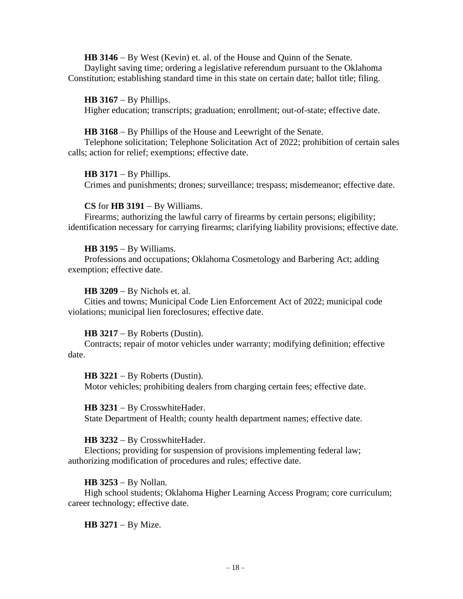**HB 3146** − By West (Kevin) et. al. of the House and Quinn of the Senate. Daylight saving time; ordering a legislative referendum pursuant to the Oklahoma Constitution; establishing standard time in this state on certain date; ballot title; filing.

**HB 3167** − By Phillips. Higher education; transcripts; graduation; enrollment; out-of-state; effective date.

#### **HB 3168** − By Phillips of the House and Leewright of the Senate.

Telephone solicitation; Telephone Solicitation Act of 2022; prohibition of certain sales calls; action for relief; exemptions; effective date.

#### **HB 3171** − By Phillips.

Crimes and punishments; drones; surveillance; trespass; misdemeanor; effective date.

#### **CS** for **HB 3191** − By Williams.

Firearms; authorizing the lawful carry of firearms by certain persons; eligibility; identification necessary for carrying firearms; clarifying liability provisions; effective date.

#### **HB 3195** − By Williams.

Professions and occupations; Oklahoma Cosmetology and Barbering Act; adding exemption; effective date.

#### **HB 3209** − By Nichols et. al.

Cities and towns; Municipal Code Lien Enforcement Act of 2022; municipal code violations; municipal lien foreclosures; effective date.

## **HB 3217** − By Roberts (Dustin).

Contracts; repair of motor vehicles under warranty; modifying definition; effective date.

**HB 3221** − By Roberts (Dustin). Motor vehicles; prohibiting dealers from charging certain fees; effective date.

#### **HB 3231** − By CrosswhiteHader.

State Department of Health; county health department names; effective date.

## **HB 3232** − By CrosswhiteHader.

Elections; providing for suspension of provisions implementing federal law; authorizing modification of procedures and rules; effective date.

## **HB 3253** − By Nollan.

High school students; Oklahoma Higher Learning Access Program; core curriculum; career technology; effective date.

**HB 3271** − By Mize.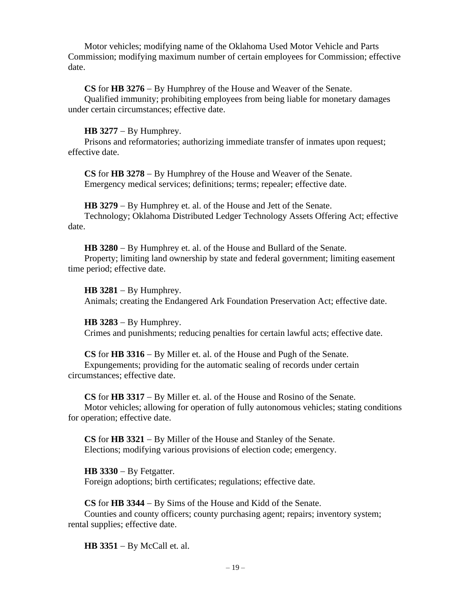Motor vehicles; modifying name of the Oklahoma Used Motor Vehicle and Parts Commission; modifying maximum number of certain employees for Commission; effective date.

**CS** for **HB 3276** − By Humphrey of the House and Weaver of the Senate.

Qualified immunity; prohibiting employees from being liable for monetary damages under certain circumstances; effective date.

## **HB 3277** − By Humphrey.

Prisons and reformatories; authorizing immediate transfer of inmates upon request; effective date.

**CS** for **HB 3278** − By Humphrey of the House and Weaver of the Senate. Emergency medical services; definitions; terms; repealer; effective date.

**HB 3279** − By Humphrey et. al. of the House and Jett of the Senate. Technology; Oklahoma Distributed Ledger Technology Assets Offering Act; effective date.

**HB 3280** − By Humphrey et. al. of the House and Bullard of the Senate.

Property; limiting land ownership by state and federal government; limiting easement time period; effective date.

**HB 3281** − By Humphrey.

Animals; creating the Endangered Ark Foundation Preservation Act; effective date.

**HB 3283** − By Humphrey.

Crimes and punishments; reducing penalties for certain lawful acts; effective date.

**CS** for **HB 3316** − By Miller et. al. of the House and Pugh of the Senate.

Expungements; providing for the automatic sealing of records under certain circumstances; effective date.

**CS** for **HB 3317** − By Miller et. al. of the House and Rosino of the Senate. Motor vehicles; allowing for operation of fully autonomous vehicles; stating conditions for operation; effective date.

**CS** for **HB 3321** − By Miller of the House and Stanley of the Senate. Elections; modifying various provisions of election code; emergency.

**HB 3330** − By Fetgatter. Foreign adoptions; birth certificates; regulations; effective date.

**CS** for **HB 3344** − By Sims of the House and Kidd of the Senate.

Counties and county officers; county purchasing agent; repairs; inventory system; rental supplies; effective date.

**HB 3351** − By McCall et. al.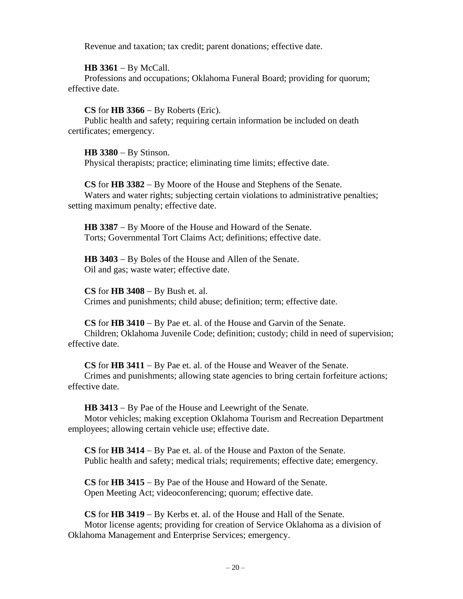Revenue and taxation; tax credit; parent donations; effective date.

**HB 3361** − By McCall.

Professions and occupations; Oklahoma Funeral Board; providing for quorum; effective date.

**CS** for **HB 3366** − By Roberts (Eric).

Public health and safety; requiring certain information be included on death certificates; emergency.

**HB 3380** − By Stinson. Physical therapists; practice; eliminating time limits; effective date.

**CS** for **HB 3382** − By Moore of the House and Stephens of the Senate. Waters and water rights; subjecting certain violations to administrative penalties; setting maximum penalty; effective date.

**HB 3387** − By Moore of the House and Howard of the Senate. Torts; Governmental Tort Claims Act; definitions; effective date.

**HB 3403** − By Boles of the House and Allen of the Senate. Oil and gas; waste water; effective date.

**CS** for **HB 3408** − By Bush et. al. Crimes and punishments; child abuse; definition; term; effective date.

**CS** for **HB 3410** − By Pae et. al. of the House and Garvin of the Senate. Children; Oklahoma Juvenile Code; definition; custody; child in need of supervision; effective date.

**CS** for **HB 3411** − By Pae et. al. of the House and Weaver of the Senate. Crimes and punishments; allowing state agencies to bring certain forfeiture actions; effective date.

**HB 3413** − By Pae of the House and Leewright of the Senate. Motor vehicles; making exception Oklahoma Tourism and Recreation Department employees; allowing certain vehicle use; effective date.

**CS** for **HB 3414** − By Pae et. al. of the House and Paxton of the Senate. Public health and safety; medical trials; requirements; effective date; emergency.

**CS** for **HB 3415** − By Pae of the House and Howard of the Senate. Open Meeting Act; videoconferencing; quorum; effective date.

**CS** for **HB 3419** − By Kerbs et. al. of the House and Hall of the Senate. Motor license agents; providing for creation of Service Oklahoma as a division of Oklahoma Management and Enterprise Services; emergency.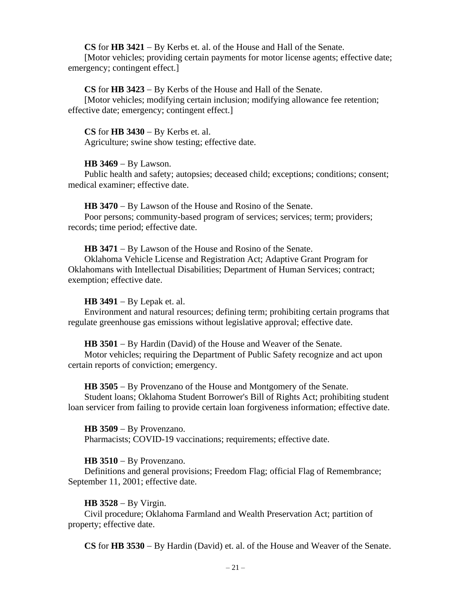**CS** for **HB 3421** − By Kerbs et. al. of the House and Hall of the Senate.

[Motor vehicles; providing certain payments for motor license agents; effective date; emergency; contingent effect.]

**CS** for **HB 3423** − By Kerbs of the House and Hall of the Senate.

[Motor vehicles; modifying certain inclusion; modifying allowance fee retention; effective date; emergency; contingent effect.]

**CS** for **HB 3430** − By Kerbs et. al.

Agriculture; swine show testing; effective date.

# **HB 3469** − By Lawson.

Public health and safety; autopsies; deceased child; exceptions; conditions; consent; medical examiner; effective date.

**HB 3470** − By Lawson of the House and Rosino of the Senate.

Poor persons; community-based program of services; services; term; providers; records; time period; effective date.

**HB 3471** − By Lawson of the House and Rosino of the Senate.

Oklahoma Vehicle License and Registration Act; Adaptive Grant Program for Oklahomans with Intellectual Disabilities; Department of Human Services; contract; exemption; effective date.

# **HB 3491** − By Lepak et. al.

Environment and natural resources; defining term; prohibiting certain programs that regulate greenhouse gas emissions without legislative approval; effective date.

**HB 3501** − By Hardin (David) of the House and Weaver of the Senate.

Motor vehicles; requiring the Department of Public Safety recognize and act upon certain reports of conviction; emergency.

**HB 3505** − By Provenzano of the House and Montgomery of the Senate. Student loans; Oklahoma Student Borrower's Bill of Rights Act; prohibiting student loan servicer from failing to provide certain loan forgiveness information; effective date.

**HB 3509** − By Provenzano. Pharmacists; COVID-19 vaccinations; requirements; effective date.

# **HB 3510** − By Provenzano.

Definitions and general provisions; Freedom Flag; official Flag of Remembrance; September 11, 2001; effective date.

# **HB 3528** − By Virgin.

Civil procedure; Oklahoma Farmland and Wealth Preservation Act; partition of property; effective date.

**CS** for **HB 3530** − By Hardin (David) et. al. of the House and Weaver of the Senate.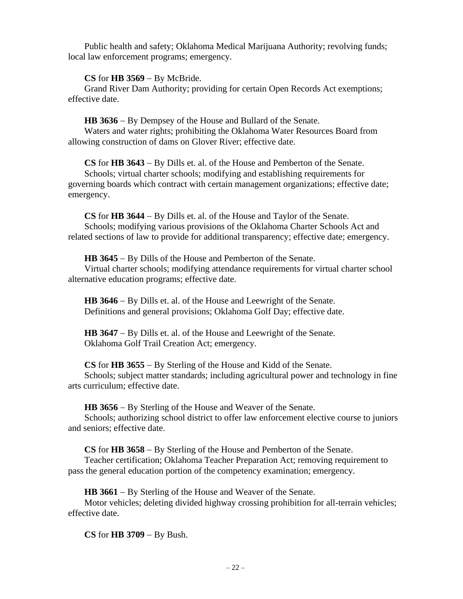Public health and safety; Oklahoma Medical Marijuana Authority; revolving funds; local law enforcement programs; emergency.

# **CS** for **HB 3569** − By McBride.

Grand River Dam Authority; providing for certain Open Records Act exemptions; effective date.

**HB 3636** − By Dempsey of the House and Bullard of the Senate.

Waters and water rights; prohibiting the Oklahoma Water Resources Board from allowing construction of dams on Glover River; effective date.

**CS** for **HB 3643** − By Dills et. al. of the House and Pemberton of the Senate. Schools; virtual charter schools; modifying and establishing requirements for governing boards which contract with certain management organizations; effective date; emergency.

**CS** for **HB 3644** − By Dills et. al. of the House and Taylor of the Senate. Schools; modifying various provisions of the Oklahoma Charter Schools Act and related sections of law to provide for additional transparency; effective date; emergency.

**HB 3645** − By Dills of the House and Pemberton of the Senate. Virtual charter schools; modifying attendance requirements for virtual charter school alternative education programs; effective date.

**HB 3646** − By Dills et. al. of the House and Leewright of the Senate. Definitions and general provisions; Oklahoma Golf Day; effective date.

**HB 3647** − By Dills et. al. of the House and Leewright of the Senate. Oklahoma Golf Trail Creation Act; emergency.

**CS** for **HB 3655** − By Sterling of the House and Kidd of the Senate.

Schools; subject matter standards; including agricultural power and technology in fine arts curriculum; effective date.

**HB 3656** − By Sterling of the House and Weaver of the Senate.

Schools; authorizing school district to offer law enforcement elective course to juniors and seniors; effective date.

**CS** for **HB 3658** − By Sterling of the House and Pemberton of the Senate.

Teacher certification; Oklahoma Teacher Preparation Act; removing requirement to pass the general education portion of the competency examination; emergency.

**HB 3661** − By Sterling of the House and Weaver of the Senate.

Motor vehicles; deleting divided highway crossing prohibition for all-terrain vehicles; effective date.

**CS** for **HB 3709** − By Bush.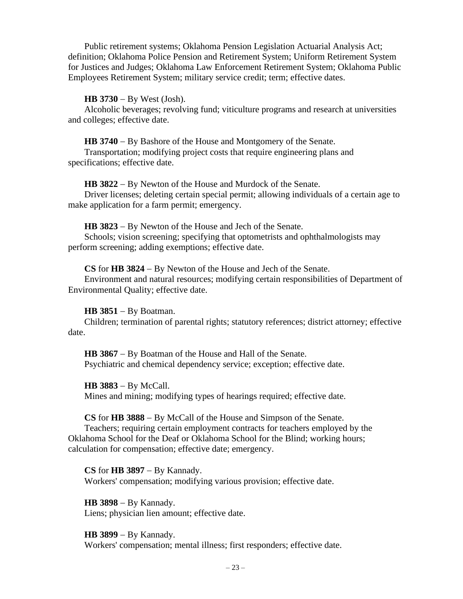Public retirement systems; Oklahoma Pension Legislation Actuarial Analysis Act; definition; Oklahoma Police Pension and Retirement System; Uniform Retirement System for Justices and Judges; Oklahoma Law Enforcement Retirement System; Oklahoma Public Employees Retirement System; military service credit; term; effective dates.

#### **HB 3730** − By West (Josh).

Alcoholic beverages; revolving fund; viticulture programs and research at universities and colleges; effective date.

**HB 3740** − By Bashore of the House and Montgomery of the Senate.

Transportation; modifying project costs that require engineering plans and specifications; effective date.

**HB 3822** − By Newton of the House and Murdock of the Senate.

Driver licenses; deleting certain special permit; allowing individuals of a certain age to make application for a farm permit; emergency.

**HB 3823** − By Newton of the House and Jech of the Senate.

Schools; vision screening; specifying that optometrists and ophthalmologists may perform screening; adding exemptions; effective date.

**CS** for **HB 3824** − By Newton of the House and Jech of the Senate.

Environment and natural resources; modifying certain responsibilities of Department of Environmental Quality; effective date.

#### **HB 3851** − By Boatman.

Children; termination of parental rights; statutory references; district attorney; effective date.

**HB 3867** − By Boatman of the House and Hall of the Senate. Psychiatric and chemical dependency service; exception; effective date.

**HB 3883** − By McCall. Mines and mining; modifying types of hearings required; effective date.

**CS** for **HB 3888** − By McCall of the House and Simpson of the Senate.

Teachers; requiring certain employment contracts for teachers employed by the Oklahoma School for the Deaf or Oklahoma School for the Blind; working hours; calculation for compensation; effective date; emergency.

**CS** for **HB 3897** − By Kannady. Workers' compensation; modifying various provision; effective date.

**HB 3898** − By Kannady. Liens; physician lien amount; effective date.

**HB 3899** − By Kannady. Workers' compensation; mental illness; first responders; effective date.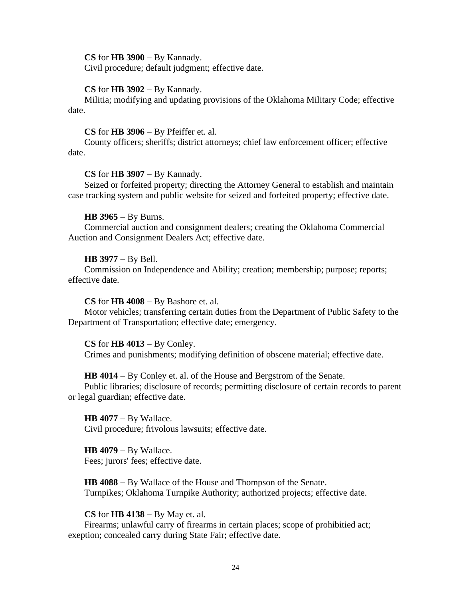**CS** for **HB 3900** − By Kannady.

Civil procedure; default judgment; effective date.

#### **CS** for **HB 3902** − By Kannady.

Militia; modifying and updating provisions of the Oklahoma Military Code; effective date.

#### **CS** for **HB 3906** − By Pfeiffer et. al.

County officers; sheriffs; district attorneys; chief law enforcement officer; effective date.

#### **CS** for **HB 3907** − By Kannady.

Seized or forfeited property; directing the Attorney General to establish and maintain case tracking system and public website for seized and forfeited property; effective date.

#### **HB 3965** − By Burns.

Commercial auction and consignment dealers; creating the Oklahoma Commercial Auction and Consignment Dealers Act; effective date.

#### **HB 3977** − By Bell.

Commission on Independence and Ability; creation; membership; purpose; reports; effective date.

#### **CS** for **HB 4008** − By Bashore et. al.

Motor vehicles; transferring certain duties from the Department of Public Safety to the Department of Transportation; effective date; emergency.

#### **CS** for **HB 4013** − By Conley.

Crimes and punishments; modifying definition of obscene material; effective date.

# **HB 4014** − By Conley et. al. of the House and Bergstrom of the Senate.

Public libraries; disclosure of records; permitting disclosure of certain records to parent or legal guardian; effective date.

**HB 4077** − By Wallace. Civil procedure; frivolous lawsuits; effective date.

**HB 4079** − By Wallace. Fees; jurors' fees; effective date.

**HB 4088** − By Wallace of the House and Thompson of the Senate. Turnpikes; Oklahoma Turnpike Authority; authorized projects; effective date.

#### **CS** for **HB 4138** − By May et. al.

Firearms; unlawful carry of firearms in certain places; scope of prohibitied act; exeption; concealed carry during State Fair; effective date.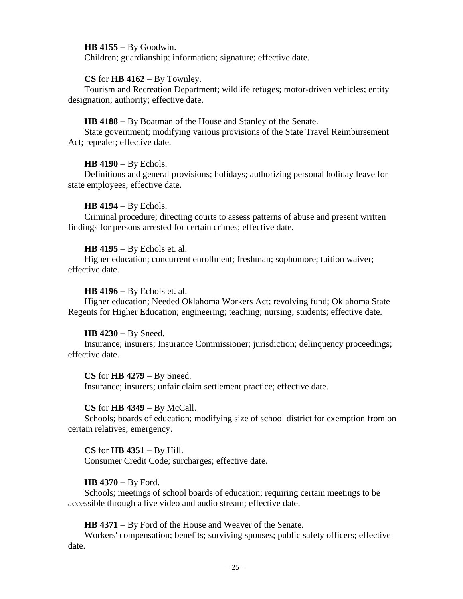**HB 4155** − By Goodwin.

Children; guardianship; information; signature; effective date.

#### **CS** for **HB 4162** − By Townley.

Tourism and Recreation Department; wildlife refuges; motor-driven vehicles; entity designation; authority; effective date.

#### **HB 4188** − By Boatman of the House and Stanley of the Senate.

State government; modifying various provisions of the State Travel Reimbursement Act; repealer; effective date.

#### **HB 4190** − By Echols.

Definitions and general provisions; holidays; authorizing personal holiday leave for state employees; effective date.

#### **HB 4194** − By Echols.

Criminal procedure; directing courts to assess patterns of abuse and present written findings for persons arrested for certain crimes; effective date.

#### **HB 4195** − By Echols et. al.

Higher education; concurrent enrollment; freshman; sophomore; tuition waiver; effective date.

#### **HB 4196** − By Echols et. al.

Higher education; Needed Oklahoma Workers Act; revolving fund; Oklahoma State Regents for Higher Education; engineering; teaching; nursing; students; effective date.

#### **HB 4230** − By Sneed.

Insurance; insurers; Insurance Commissioner; jurisdiction; delinquency proceedings; effective date.

**CS** for **HB 4279** − By Sneed. Insurance; insurers; unfair claim settlement practice; effective date.

## **CS** for **HB 4349** − By McCall.

Schools; boards of education; modifying size of school district for exemption from on certain relatives; emergency.

# **CS** for **HB 4351** − By Hill.

Consumer Credit Code; surcharges; effective date.

## **HB 4370** − By Ford.

Schools; meetings of school boards of education; requiring certain meetings to be accessible through a live video and audio stream; effective date.

**HB 4371** − By Ford of the House and Weaver of the Senate.

Workers' compensation; benefits; surviving spouses; public safety officers; effective date.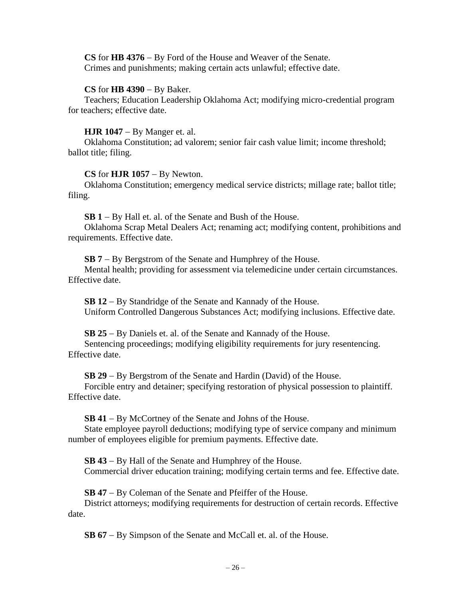**CS** for **HB 4376** − By Ford of the House and Weaver of the Senate. Crimes and punishments; making certain acts unlawful; effective date.

## **CS** for **HB 4390** − By Baker.

Teachers; Education Leadership Oklahoma Act; modifying micro-credential program for teachers; effective date.

# **HJR 1047** − By Manger et. al.

Oklahoma Constitution; ad valorem; senior fair cash value limit; income threshold; ballot title; filing.

# **CS** for **HJR 1057** − By Newton.

Oklahoma Constitution; emergency medical service districts; millage rate; ballot title; filing.

**SB 1** − By Hall et. al. of the Senate and Bush of the House.

Oklahoma Scrap Metal Dealers Act; renaming act; modifying content, prohibitions and requirements. Effective date.

**SB 7** − By Bergstrom of the Senate and Humphrey of the House.

Mental health; providing for assessment via telemedicine under certain circumstances. Effective date.

**SB 12** − By Standridge of the Senate and Kannady of the House. Uniform Controlled Dangerous Substances Act; modifying inclusions. Effective date.

**SB 25** − By Daniels et. al. of the Senate and Kannady of the House. Sentencing proceedings; modifying eligibility requirements for jury resentencing. Effective date.

**SB 29** − By Bergstrom of the Senate and Hardin (David) of the House.

Forcible entry and detainer; specifying restoration of physical possession to plaintiff. Effective date.

**SB 41** − By McCortney of the Senate and Johns of the House.

State employee payroll deductions; modifying type of service company and minimum number of employees eligible for premium payments. Effective date.

**SB 43** − By Hall of the Senate and Humphrey of the House. Commercial driver education training; modifying certain terms and fee. Effective date.

**SB 47** − By Coleman of the Senate and Pfeiffer of the House.

District attorneys; modifying requirements for destruction of certain records. Effective date.

**SB 67** − By Simpson of the Senate and McCall et. al. of the House.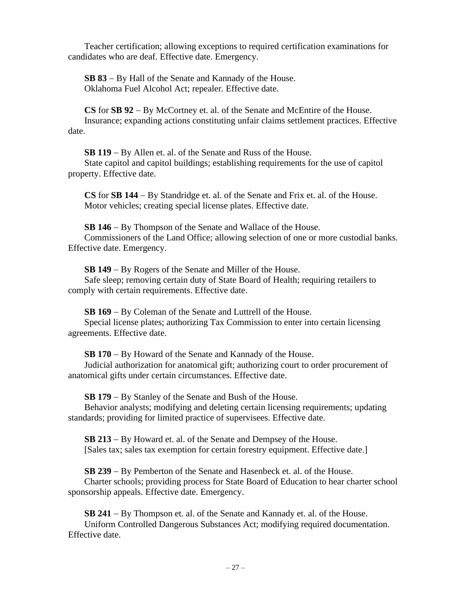Teacher certification; allowing exceptions to required certification examinations for candidates who are deaf. Effective date. Emergency.

**SB 83** − By Hall of the Senate and Kannady of the House. Oklahoma Fuel Alcohol Act; repealer. Effective date.

**CS** for **SB 92** − By McCortney et. al. of the Senate and McEntire of the House. Insurance; expanding actions constituting unfair claims settlement practices. Effective date.

**SB 119** − By Allen et. al. of the Senate and Russ of the House. State capitol and capitol buildings; establishing requirements for the use of capitol property. Effective date.

**CS** for **SB 144** − By Standridge et. al. of the Senate and Frix et. al. of the House. Motor vehicles; creating special license plates. Effective date.

**SB 146** − By Thompson of the Senate and Wallace of the House. Commissioners of the Land Office; allowing selection of one or more custodial banks. Effective date. Emergency.

**SB 149** − By Rogers of the Senate and Miller of the House.

Safe sleep; removing certain duty of State Board of Health; requiring retailers to comply with certain requirements. Effective date.

**SB 169** − By Coleman of the Senate and Luttrell of the House.

Special license plates; authorizing Tax Commission to enter into certain licensing agreements. Effective date.

**SB 170** − By Howard of the Senate and Kannady of the House.

Judicial authorization for anatomical gift; authorizing court to order procurement of anatomical gifts under certain circumstances. Effective date.

**SB 179** − By Stanley of the Senate and Bush of the House.

Behavior analysts; modifying and deleting certain licensing requirements; updating standards; providing for limited practice of supervisees. Effective date.

**SB 213** − By Howard et. al. of the Senate and Dempsey of the House. [Sales tax; sales tax exemption for certain forestry equipment. Effective date.]

**SB 239** − By Pemberton of the Senate and Hasenbeck et. al. of the House.

Charter schools; providing process for State Board of Education to hear charter school sponsorship appeals. Effective date. Emergency.

**SB 241** − By Thompson et. al. of the Senate and Kannady et. al. of the House. Uniform Controlled Dangerous Substances Act; modifying required documentation. Effective date.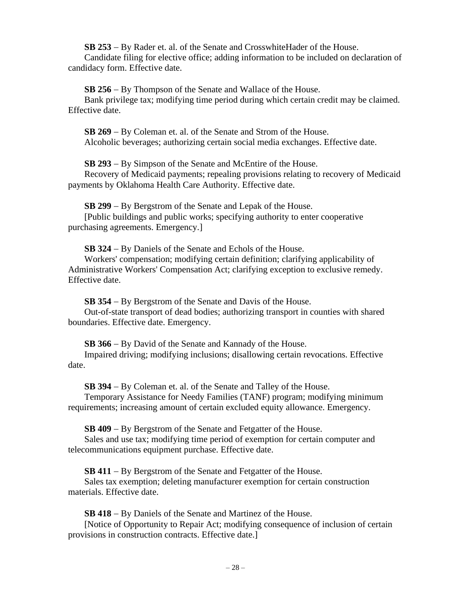**SB 253** − By Rader et. al. of the Senate and CrosswhiteHader of the House.

Candidate filing for elective office; adding information to be included on declaration of candidacy form. Effective date.

**SB 256** − By Thompson of the Senate and Wallace of the House.

Bank privilege tax; modifying time period during which certain credit may be claimed. Effective date.

**SB 269** − By Coleman et. al. of the Senate and Strom of the House. Alcoholic beverages; authorizing certain social media exchanges. Effective date.

**SB 293** − By Simpson of the Senate and McEntire of the House.

Recovery of Medicaid payments; repealing provisions relating to recovery of Medicaid payments by Oklahoma Health Care Authority. Effective date.

**SB 299** − By Bergstrom of the Senate and Lepak of the House.

[Public buildings and public works; specifying authority to enter cooperative purchasing agreements. Emergency.]

**SB 324** − By Daniels of the Senate and Echols of the House.

Workers' compensation; modifying certain definition; clarifying applicability of Administrative Workers' Compensation Act; clarifying exception to exclusive remedy. Effective date.

**SB 354** − By Bergstrom of the Senate and Davis of the House.

Out-of-state transport of dead bodies; authorizing transport in counties with shared boundaries. Effective date. Emergency.

**SB 366** − By David of the Senate and Kannady of the House.

Impaired driving; modifying inclusions; disallowing certain revocations. Effective date.

**SB 394** − By Coleman et. al. of the Senate and Talley of the House.

Temporary Assistance for Needy Families (TANF) program; modifying minimum requirements; increasing amount of certain excluded equity allowance. Emergency.

**SB 409** − By Bergstrom of the Senate and Fetgatter of the House.

Sales and use tax; modifying time period of exemption for certain computer and telecommunications equipment purchase. Effective date.

**SB 411** − By Bergstrom of the Senate and Fetgatter of the House.

Sales tax exemption; deleting manufacturer exemption for certain construction materials. Effective date.

**SB 418** − By Daniels of the Senate and Martinez of the House.

[Notice of Opportunity to Repair Act; modifying consequence of inclusion of certain provisions in construction contracts. Effective date.]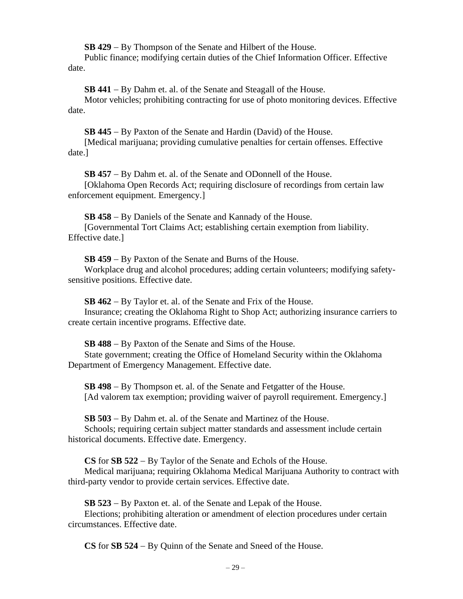**SB 429** − By Thompson of the Senate and Hilbert of the House.

Public finance; modifying certain duties of the Chief Information Officer. Effective date.

**SB 441** − By Dahm et. al. of the Senate and Steagall of the House.

Motor vehicles; prohibiting contracting for use of photo monitoring devices. Effective date.

**SB 445** − By Paxton of the Senate and Hardin (David) of the House.

[Medical marijuana; providing cumulative penalties for certain offenses. Effective date.]

**SB 457** − By Dahm et. al. of the Senate and ODonnell of the House.

[Oklahoma Open Records Act; requiring disclosure of recordings from certain law enforcement equipment. Emergency.]

**SB 458** − By Daniels of the Senate and Kannady of the House. [Governmental Tort Claims Act; establishing certain exemption from liability. Effective date.]

**SB 459** − By Paxton of the Senate and Burns of the House.

Workplace drug and alcohol procedures; adding certain volunteers; modifying safetysensitive positions. Effective date.

**SB 462** − By Taylor et. al. of the Senate and Frix of the House. Insurance; creating the Oklahoma Right to Shop Act; authorizing insurance carriers to create certain incentive programs. Effective date.

**SB 488** − By Paxton of the Senate and Sims of the House.

State government; creating the Office of Homeland Security within the Oklahoma Department of Emergency Management. Effective date.

**SB 498** − By Thompson et. al. of the Senate and Fetgatter of the House. [Ad valorem tax exemption; providing waiver of payroll requirement. Emergency.]

**SB 503** − By Dahm et. al. of the Senate and Martinez of the House.

Schools; requiring certain subject matter standards and assessment include certain historical documents. Effective date. Emergency.

**CS** for **SB 522** − By Taylor of the Senate and Echols of the House.

Medical marijuana; requiring Oklahoma Medical Marijuana Authority to contract with third-party vendor to provide certain services. Effective date.

**SB 523** − By Paxton et. al. of the Senate and Lepak of the House.

Elections; prohibiting alteration or amendment of election procedures under certain circumstances. Effective date.

**CS** for **SB 524** − By Quinn of the Senate and Sneed of the House.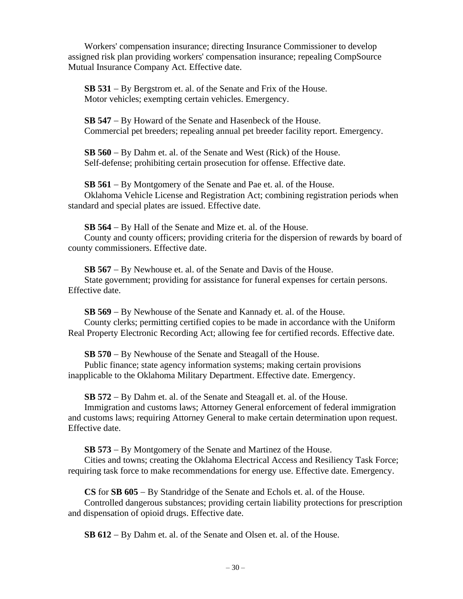Workers' compensation insurance; directing Insurance Commissioner to develop assigned risk plan providing workers' compensation insurance; repealing CompSource Mutual Insurance Company Act. Effective date.

**SB 531** − By Bergstrom et. al. of the Senate and Frix of the House. Motor vehicles; exempting certain vehicles. Emergency.

**SB 547** − By Howard of the Senate and Hasenbeck of the House. Commercial pet breeders; repealing annual pet breeder facility report. Emergency.

**SB 560** − By Dahm et. al. of the Senate and West (Rick) of the House. Self-defense; prohibiting certain prosecution for offense. Effective date.

**SB 561** − By Montgomery of the Senate and Pae et. al. of the House. Oklahoma Vehicle License and Registration Act; combining registration periods when standard and special plates are issued. Effective date.

**SB 564** − By Hall of the Senate and Mize et. al. of the House. County and county officers; providing criteria for the dispersion of rewards by board of county commissioners. Effective date.

**SB 567** − By Newhouse et. al. of the Senate and Davis of the House. State government; providing for assistance for funeral expenses for certain persons. Effective date.

**SB 569** − By Newhouse of the Senate and Kannady et. al. of the House. County clerks; permitting certified copies to be made in accordance with the Uniform Real Property Electronic Recording Act; allowing fee for certified records. Effective date.

**SB 570** − By Newhouse of the Senate and Steagall of the House.

Public finance; state agency information systems; making certain provisions inapplicable to the Oklahoma Military Department. Effective date. Emergency.

**SB 572** − By Dahm et. al. of the Senate and Steagall et. al. of the House.

Immigration and customs laws; Attorney General enforcement of federal immigration and customs laws; requiring Attorney General to make certain determination upon request. Effective date.

**SB 573** − By Montgomery of the Senate and Martinez of the House.

Cities and towns; creating the Oklahoma Electrical Access and Resiliency Task Force; requiring task force to make recommendations for energy use. Effective date. Emergency.

**CS** for **SB 605** − By Standridge of the Senate and Echols et. al. of the House. Controlled dangerous substances; providing certain liability protections for prescription and dispensation of opioid drugs. Effective date.

**SB 612** − By Dahm et. al. of the Senate and Olsen et. al. of the House.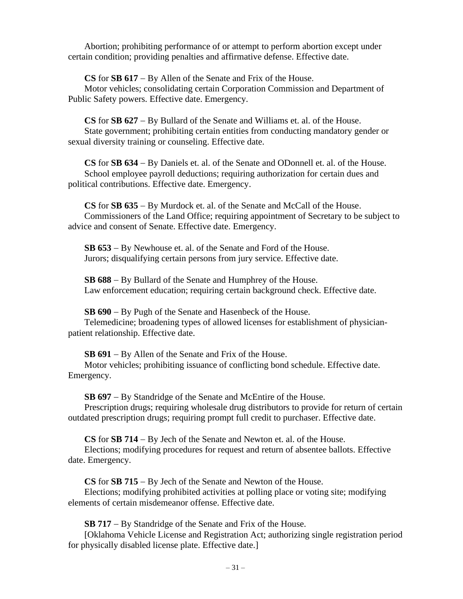Abortion; prohibiting performance of or attempt to perform abortion except under certain condition; providing penalties and affirmative defense. Effective date.

**CS** for **SB 617** − By Allen of the Senate and Frix of the House.

Motor vehicles; consolidating certain Corporation Commission and Department of Public Safety powers. Effective date. Emergency.

**CS** for **SB 627** − By Bullard of the Senate and Williams et. al. of the House. State government; prohibiting certain entities from conducting mandatory gender or sexual diversity training or counseling. Effective date.

**CS** for **SB 634** − By Daniels et. al. of the Senate and ODonnell et. al. of the House. School employee payroll deductions; requiring authorization for certain dues and political contributions. Effective date. Emergency.

**CS** for **SB 635** − By Murdock et. al. of the Senate and McCall of the House. Commissioners of the Land Office; requiring appointment of Secretary to be subject to advice and consent of Senate. Effective date. Emergency.

**SB 653** − By Newhouse et. al. of the Senate and Ford of the House. Jurors; disqualifying certain persons from jury service. Effective date.

**SB 688** − By Bullard of the Senate and Humphrey of the House. Law enforcement education; requiring certain background check. Effective date.

**SB 690** − By Pugh of the Senate and Hasenbeck of the House.

Telemedicine; broadening types of allowed licenses for establishment of physicianpatient relationship. Effective date.

**SB 691** − By Allen of the Senate and Frix of the House.

Motor vehicles; prohibiting issuance of conflicting bond schedule. Effective date. Emergency.

**SB 697** − By Standridge of the Senate and McEntire of the House.

Prescription drugs; requiring wholesale drug distributors to provide for return of certain outdated prescription drugs; requiring prompt full credit to purchaser. Effective date.

**CS** for **SB 714** − By Jech of the Senate and Newton et. al. of the House.

Elections; modifying procedures for request and return of absentee ballots. Effective date. Emergency.

**CS** for **SB 715** − By Jech of the Senate and Newton of the House.

Elections; modifying prohibited activities at polling place or voting site; modifying elements of certain misdemeanor offense. Effective date.

**SB 717** − By Standridge of the Senate and Frix of the House.

[Oklahoma Vehicle License and Registration Act; authorizing single registration period for physically disabled license plate. Effective date.]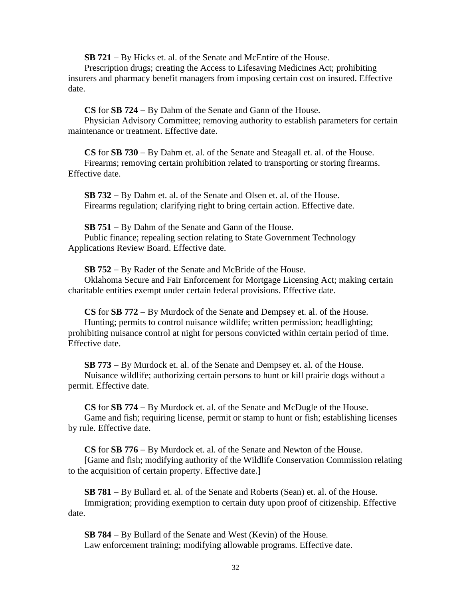**SB 721** − By Hicks et. al. of the Senate and McEntire of the House.

Prescription drugs; creating the Access to Lifesaving Medicines Act; prohibiting insurers and pharmacy benefit managers from imposing certain cost on insured. Effective date.

**CS** for **SB 724** − By Dahm of the Senate and Gann of the House.

Physician Advisory Committee; removing authority to establish parameters for certain maintenance or treatment. Effective date.

**CS** for **SB 730** − By Dahm et. al. of the Senate and Steagall et. al. of the House. Firearms; removing certain prohibition related to transporting or storing firearms. Effective date.

**SB 732** − By Dahm et. al. of the Senate and Olsen et. al. of the House. Firearms regulation; clarifying right to bring certain action. Effective date.

**SB 751** − By Dahm of the Senate and Gann of the House. Public finance; repealing section relating to State Government Technology Applications Review Board. Effective date.

**SB 752** − By Rader of the Senate and McBride of the House.

Oklahoma Secure and Fair Enforcement for Mortgage Licensing Act; making certain charitable entities exempt under certain federal provisions. Effective date.

**CS** for **SB 772** − By Murdock of the Senate and Dempsey et. al. of the House. Hunting; permits to control nuisance wildlife; written permission; headlighting; prohibiting nuisance control at night for persons convicted within certain period of time. Effective date.

**SB 773** − By Murdock et. al. of the Senate and Dempsey et. al. of the House. Nuisance wildlife; authorizing certain persons to hunt or kill prairie dogs without a permit. Effective date.

**CS** for **SB 774** − By Murdock et. al. of the Senate and McDugle of the House. Game and fish; requiring license, permit or stamp to hunt or fish; establishing licenses by rule. Effective date.

**CS** for **SB 776** − By Murdock et. al. of the Senate and Newton of the House.

[Game and fish; modifying authority of the Wildlife Conservation Commission relating to the acquisition of certain property. Effective date.]

**SB 781** − By Bullard et. al. of the Senate and Roberts (Sean) et. al. of the House. Immigration; providing exemption to certain duty upon proof of citizenship. Effective date.

**SB 784** − By Bullard of the Senate and West (Kevin) of the House. Law enforcement training; modifying allowable programs. Effective date.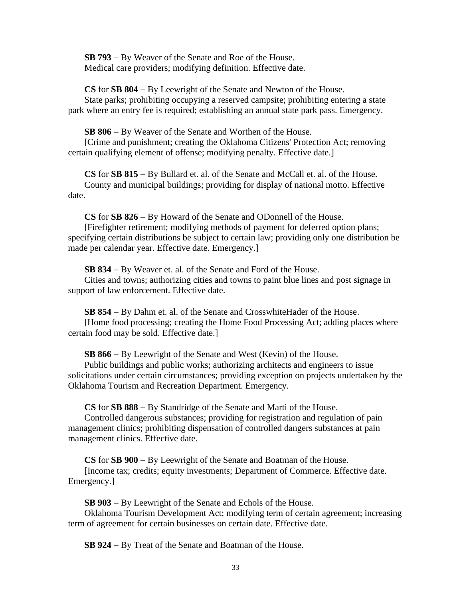**SB 793** − By Weaver of the Senate and Roe of the House. Medical care providers; modifying definition. Effective date.

**CS** for **SB 804** − By Leewright of the Senate and Newton of the House. State parks; prohibiting occupying a reserved campsite; prohibiting entering a state park where an entry fee is required; establishing an annual state park pass. Emergency.

**SB 806** − By Weaver of the Senate and Worthen of the House.

[Crime and punishment; creating the Oklahoma Citizens' Protection Act; removing certain qualifying element of offense; modifying penalty. Effective date.]

**CS** for **SB 815** − By Bullard et. al. of the Senate and McCall et. al. of the House. County and municipal buildings; providing for display of national motto. Effective date.

**CS** for **SB 826** − By Howard of the Senate and ODonnell of the House.

[Firefighter retirement; modifying methods of payment for deferred option plans; specifying certain distributions be subject to certain law; providing only one distribution be made per calendar year. Effective date. Emergency.]

**SB 834** − By Weaver et. al. of the Senate and Ford of the House.

Cities and towns; authorizing cities and towns to paint blue lines and post signage in support of law enforcement. Effective date.

**SB 854** − By Dahm et. al. of the Senate and CrosswhiteHader of the House.

[Home food processing; creating the Home Food Processing Act; adding places where certain food may be sold. Effective date.]

**SB 866** − By Leewright of the Senate and West (Kevin) of the House.

Public buildings and public works; authorizing architects and engineers to issue solicitations under certain circumstances; providing exception on projects undertaken by the Oklahoma Tourism and Recreation Department. Emergency.

**CS** for **SB 888** − By Standridge of the Senate and Marti of the House.

Controlled dangerous substances; providing for registration and regulation of pain management clinics; prohibiting dispensation of controlled dangers substances at pain management clinics. Effective date.

**CS** for **SB 900** − By Leewright of the Senate and Boatman of the House.

[Income tax; credits; equity investments; Department of Commerce. Effective date. Emergency.]

**SB 903** − By Leewright of the Senate and Echols of the House.

Oklahoma Tourism Development Act; modifying term of certain agreement; increasing term of agreement for certain businesses on certain date. Effective date.

**SB 924** − By Treat of the Senate and Boatman of the House.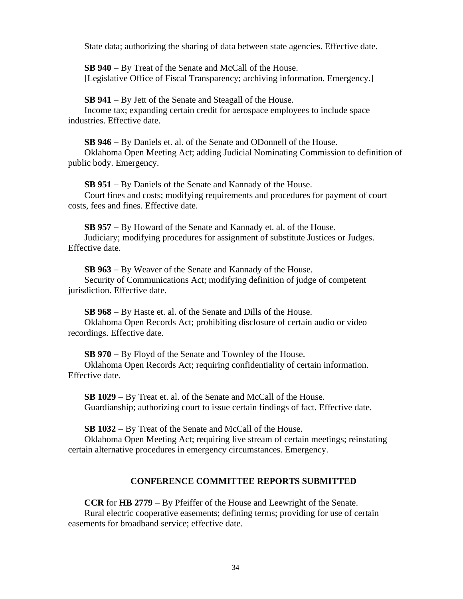State data; authorizing the sharing of data between state agencies. Effective date.

**SB 940** − By Treat of the Senate and McCall of the House. [Legislative Office of Fiscal Transparency; archiving information. Emergency.]

**SB 941** − By Jett of the Senate and Steagall of the House.

Income tax; expanding certain credit for aerospace employees to include space industries. Effective date.

**SB 946** − By Daniels et. al. of the Senate and ODonnell of the House. Oklahoma Open Meeting Act; adding Judicial Nominating Commission to definition of public body. Emergency.

**SB 951** − By Daniels of the Senate and Kannady of the House. Court fines and costs; modifying requirements and procedures for payment of court costs, fees and fines. Effective date.

**SB 957** − By Howard of the Senate and Kannady et. al. of the House. Judiciary; modifying procedures for assignment of substitute Justices or Judges. Effective date.

**SB 963** − By Weaver of the Senate and Kannady of the House. Security of Communications Act; modifying definition of judge of competent jurisdiction. Effective date.

**SB 968** − By Haste et. al. of the Senate and Dills of the House.

Oklahoma Open Records Act; prohibiting disclosure of certain audio or video recordings. Effective date.

**SB 970** − By Floyd of the Senate and Townley of the House.

Oklahoma Open Records Act; requiring confidentiality of certain information. Effective date.

**SB 1029** − By Treat et. al. of the Senate and McCall of the House. Guardianship; authorizing court to issue certain findings of fact. Effective date.

**SB 1032** − By Treat of the Senate and McCall of the House. Oklahoma Open Meeting Act; requiring live stream of certain meetings; reinstating certain alternative procedures in emergency circumstances. Emergency.

# **CONFERENCE COMMITTEE REPORTS SUBMITTED**

**CCR** for **HB 2779** − By Pfeiffer of the House and Leewright of the Senate. Rural electric cooperative easements; defining terms; providing for use of certain easements for broadband service; effective date.